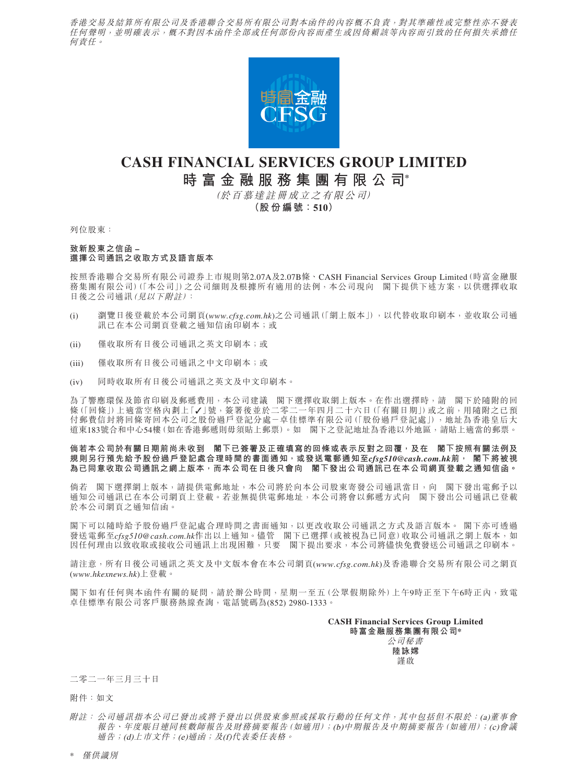香港交易及結算所有限公司及香港聯合交易所有限公司對本函件的內容概不負責,對其準確性或完整性亦不發表 任何聲明,並明確表示,概不對因本函件全部或任何部份內容而產生或因倚賴該等內容而引致的任何損失承擔任 何責任。



# **CASH FINANCIAL SERVICES GROUP LIMITED 時富金融服務集團有限公司\***

(於百慕達註冊成立之有限公司)

**(股份編號:510)**

列位股東:

# **致新股東之信函 – 選擇公司通訊之收取方式及語言版本**

按照香港聯合交易所有限公司證券上市規則第2.07A及2.07B條、CASH Financial Services Group Limited(時富金融服 務集團有限公司)(「本公司」)之公司細則及根據所有適用的法例,本公司現向 閣下提供下述方案,以供選擇收取 日後之公司通訊(見以下附註):

- (i) 瀏覽日後登載於本公司網頁(*www.cfsg.com.hk*)之公司通訊(「網上版本」),以代替收取印刷本,並收取公司通 訊已在本公司網頁登載之通知信函印刷本;或
- (ii) 僅收取所有日後公司通訊之英文印刷本;或
- (iii) 僅收取所有日後公司通訊之中文印刷本;或
- (iv) 同時收取所有日後公司通訊之英文及中文印刷本。

為了響應環保及節省印刷及郵遞費用,本公司建議 閣下選擇收取網上版本。在作出選擇時,請 閣下於隨附的回 條(「回條」)上適當空格內劃上「✓」號,簽署後並於二零二一年四月二十六日(「有關日期」)或之前,用隨附之已預 付郵費信封將回條寄回本公司之股份過戶登記分處-卓佳標準有限公司(「股份過戶登記處」),地址為香港皇后大 道東183號合和中心54樓(如在香港郵遞則毋須貼上郵票)。如 閣下之登記地址為香港以外地區,請貼上適當的郵票。

#### **倘若本公司於有關日期前尚未收到 閣下已簽署及正確填寫的回條或表示反對之回覆,及在 閣下按照有關法例及 規則另行預先給予股份過戶登記處合理時間的書面通知,或發送電郵通知至***cfsg510@cash.com.hk***前, 閣下將被視 為已同意收取公司通訊之網上版本,而本公司在日後只會向 閣下發出公司通訊已在本公司網頁登載之通知信函。**

倘若 閣下選擇網上版本,請提供電郵地址,本公司將於向本公司股東寄發公司通訊當日,向 閣下發出電郵予以 通知公司通訊已在本公司網頁上登載。若並無提供電郵地址,本公司將會以郵遞方式向 閣下發出公司通訊已登載 於本公司網頁之通知信函。

閣下可以隨時給予股份過戶登記處合理時間之書面通知,以更改收取公司通訊之方式及語言版本。 閣下亦可透過 發送電郵至*cfsg510@cash.com.hk*作出以上通知。儘管 閣下已選擇(或被視為已同意)收取公司通訊之網上版本,如 因任何理由以致收取或接收公司通訊上出現困難,只要 閣下提出要求,本公司將儘快免費發送公司通訊之印刷本。

請注意,所有日後公司通訊之英文及中文版本會在本公司網頁(*www.cfsg.com.hk*)及香港聯合交易所有限公司之網頁 (*www.hkexnews.hk*)上登載。

閣下如有任何與本函件有關的疑問,請於辦公時間,星期一至五(公眾假期除外)上午9時正至下午6時正內,致電 卓佳標準有限公司客戶服務熱線查詢,電話號碼為(852) 2980-1333。

> **CASH Financial Services Group Limited 時富金融服務集團有限公司\*** 公司秘書 **陸詠嫦**

謹啟

# 二零二一年三月三十日

附件:如文

附註: 公司通訊指本公司已發出或將予發出以供股東參照或採取行動的任何文件,其中包括但不限於:(a)董事會 報告、年度賬目連同核數師報告及財務摘要報告(如適用);(b)中期報告及中期摘要報告(如適用);(c)會議 通告;(d)上市文件;(e)通函;及(f)代表委任表格。